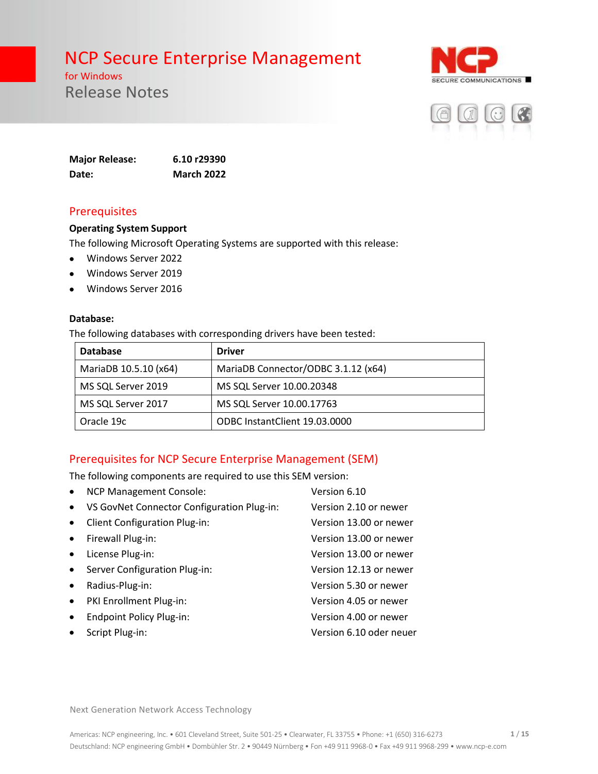for Windows Release Notes





**Major Release: 6.10 r29390 Date: March 2022**

### Prerequisites

#### **Operating System Support**

The following Microsoft Operating Systems are supported with this release:

- Windows Server 2022
- Windows Server 2019
- Windows Server 2016

#### **Database:**

The following databases with corresponding drivers have been tested:

| <b>Database</b>       | <b>Driver</b>                       |  |
|-----------------------|-------------------------------------|--|
| MariaDB 10.5.10 (x64) | MariaDB Connector/ODBC 3.1.12 (x64) |  |
| MS SQL Server 2019    | MS SQL Server 10.00.20348           |  |
| MS SQL Server 2017    | MS SQL Server 10.00.17763           |  |
| Oracle 19c            | ODBC InstantClient 19.03.0000       |  |

### Prerequisites for NCP Secure Enterprise Management (SEM)

The following components are required to use this SEM version:

| $\bullet$ | <b>NCP Management Console:</b>             | Version 6.10            |
|-----------|--------------------------------------------|-------------------------|
| $\bullet$ | VS GovNet Connector Configuration Plug-in: | Version 2.10 or newer   |
| $\bullet$ | <b>Client Configuration Plug-in:</b>       | Version 13.00 or newer  |
| $\bullet$ | Firewall Plug-in:                          | Version 13.00 or newer  |
| $\bullet$ | License Plug-in:                           | Version 13.00 or newer  |
| $\bullet$ | Server Configuration Plug-in:              | Version 12.13 or newer  |
| $\bullet$ | Radius-Plug-in:                            | Version 5.30 or newer   |
| $\bullet$ | PKI Enrollment Plug-in:                    | Version 4.05 or newer   |
| $\bullet$ | <b>Endpoint Policy Plug-in:</b>            | Version 4.00 or newer   |
| $\bullet$ | Script Plug-in:                            | Version 6.10 oder neuer |
|           |                                            |                         |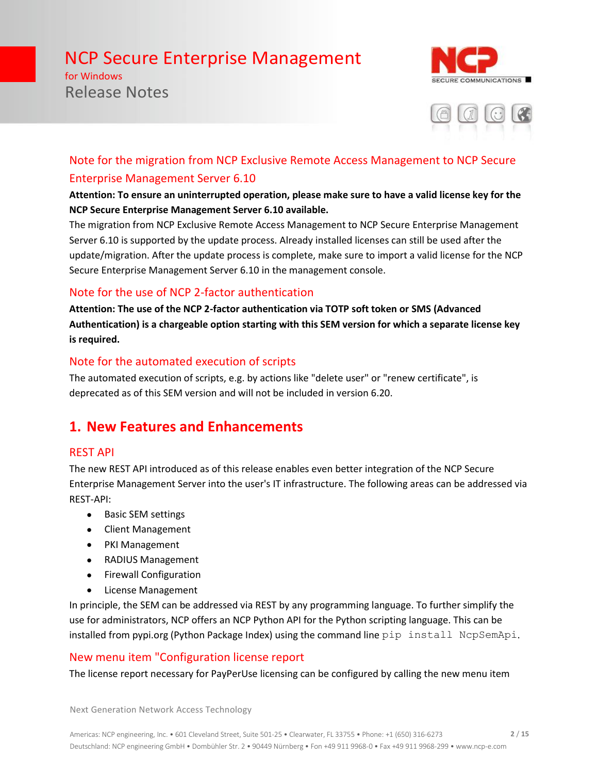for Windows Release Notes





# Note for the migration from NCP Exclusive Remote Access Management to NCP Secure Enterprise Management Server 6.10

### **Attention: To ensure an uninterrupted operation, please make sure to have a valid license key for the NCP Secure Enterprise Management Server 6.10 available.**

The migration from NCP Exclusive Remote Access Management to NCP Secure Enterprise Management Server 6.10 is supported by the update process. Already installed licenses can still be used after the update/migration. After the update process is complete, make sure to import a valid license for the NCP Secure Enterprise Management Server 6.10 in the management console.

# Note for the use of NCP 2-factor authentication

**Attention: The use of the NCP 2-factor authentication via TOTP soft token or SMS (Advanced Authentication) is a chargeable option starting with this SEM version for which a separate license key is required.**

# Note for the automated execution of scripts

The automated execution of scripts, e.g. by actions like "delete user" or "renew certificate", is deprecated as of this SEM version and will not be included in version 6.20.

# **1. New Features and Enhancements**

## REST API

The new REST API introduced as of this release enables even better integration of the NCP Secure Enterprise Management Server into the user's IT infrastructure. The following areas can be addressed via REST-API:

- Basic SEM settings
- Client Management
- PKI Management
- RADIUS Management
- Firewall Configuration
- License Management

In principle, the SEM can be addressed via REST by any programming language. To further simplify the use for administrators, NCP offers an NCP Python API for the Python scripting language. This can be installed from pypi.org (Python Package Index) using the command line pip install NcpSemApi.

# New menu item "Configuration license report

The license report necessary for PayPerUse licensing can be configured by calling the new menu item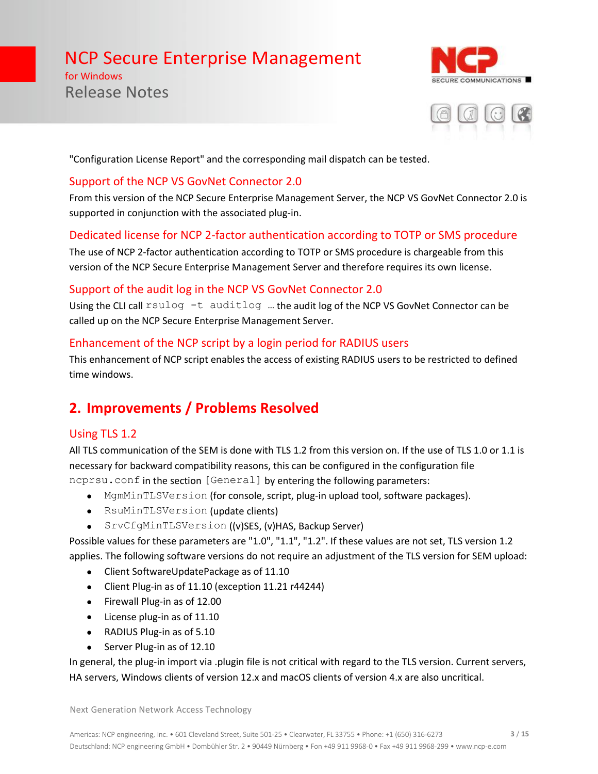for Windows Release Notes





"Configuration License Report" and the corresponding mail dispatch can be tested.

### Support of the NCP VS GovNet Connector 2.0

From this version of the NCP Secure Enterprise Management Server, the NCP VS GovNet Connector 2.0 is supported in conjunction with the associated plug-in.

# Dedicated license for NCP 2-factor authentication according to TOTP or SMS procedure

The use of NCP 2-factor authentication according to TOTP or SMS procedure is chargeable from this version of the NCP Secure Enterprise Management Server and therefore requires its own license.

## Support of the audit log in the NCP VS GovNet Connector 2.0

Using the CLI call rsulog -t auditlog ... the audit log of the NCP VS GovNet Connector can be called up on the NCP Secure Enterprise Management Server.

# Enhancement of the NCP script by a login period for RADIUS users

This enhancement of NCP script enables the access of existing RADIUS users to be restricted to defined time windows.

# **2. Improvements / Problems Resolved**

# Using TLS 1.2

All TLS communication of the SEM is done with TLS 1.2 from this version on. If the use of TLS 1.0 or 1.1 is necessary for backward compatibility reasons, this can be configured in the configuration file ncprsu.conf in the section [General] by entering the following parameters:

- MgmMinTLSVersion (for console, script, plug-in upload tool, software packages).
- RsuMinTLSVersion (update clients)
- SrvCfgMinTLSVersion ((v)SES, (v)HAS, Backup Server)

Possible values for these parameters are "1.0", "1.1", "1.2". If these values are not set, TLS version 1.2 applies. The following software versions do not require an adjustment of the TLS version for SEM upload:

- Client SoftwareUpdatePackage as of 11.10
- Client Plug-in as of 11.10 (exception 11.21 r44244)
- Firewall Plug-in as of 12.00
- License plug-in as of 11.10
- RADIUS Plug-in as of 5.10
- Server Plug-in as of 12.10

In general, the plug-in import via .plugin file is not critical with regard to the TLS version. Current servers, HA servers, Windows clients of version 12.x and macOS clients of version 4.x are also uncritical.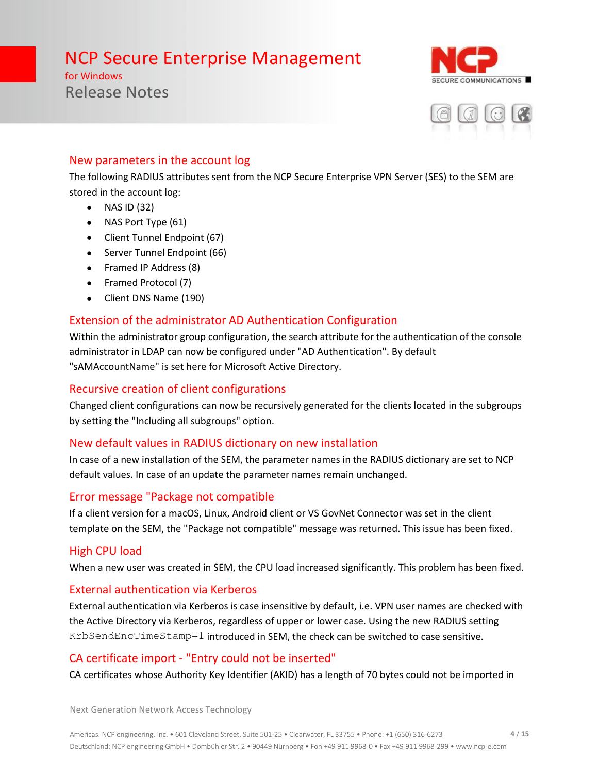for Windows Release Notes





## New parameters in the account log

The following RADIUS attributes sent from the NCP Secure Enterprise VPN Server (SES) to the SEM are stored in the account log:

- NAS ID (32)
- NAS Port Type (61)
- Client Tunnel Endpoint (67)
- Server Tunnel Endpoint (66)
- Framed IP Address (8)
- Framed Protocol (7)
- Client DNS Name (190)

# Extension of the administrator AD Authentication Configuration

Within the administrator group configuration, the search attribute for the authentication of the console administrator in LDAP can now be configured under "AD Authentication". By default "sAMAccountName" is set here for Microsoft Active Directory.

# Recursive creation of client configurations

Changed client configurations can now be recursively generated for the clients located in the subgroups by setting the "Including all subgroups" option.

# New default values in RADIUS dictionary on new installation

In case of a new installation of the SEM, the parameter names in the RADIUS dictionary are set to NCP default values. In case of an update the parameter names remain unchanged.

## Error message "Package not compatible

If a client version for a macOS, Linux, Android client or VS GovNet Connector was set in the client template on the SEM, the "Package not compatible" message was returned. This issue has been fixed.

# High CPU load

When a new user was created in SEM, the CPU load increased significantly. This problem has been fixed.

# External authentication via Kerberos

External authentication via Kerberos is case insensitive by default, i.e. VPN user names are checked with the Active Directory via Kerberos, regardless of upper or lower case. Using the new RADIUS setting KrbSendEncTimeStamp=1 introduced in SEM, the check can be switched to case sensitive.

# CA certificate import - "Entry could not be inserted"

CA certificates whose Authority Key Identifier (AKID) has a length of 70 bytes could not be imported in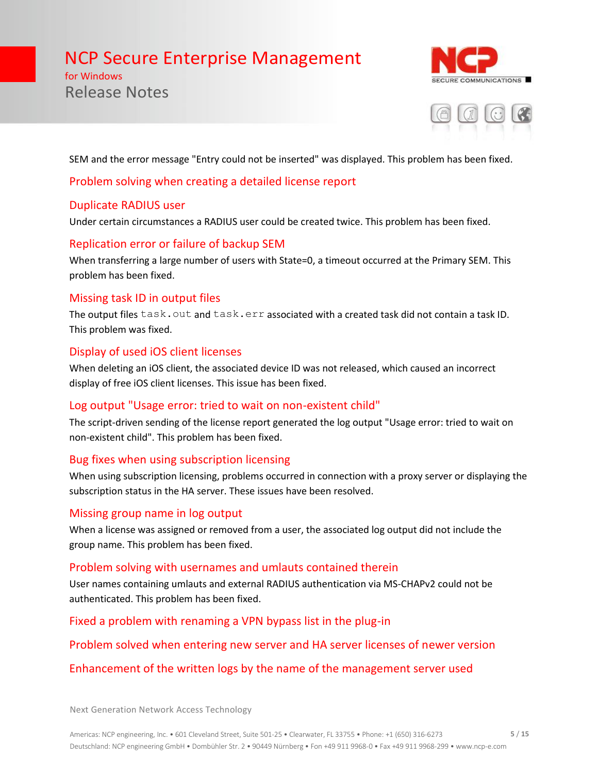for Windows Release Notes





SEM and the error message "Entry could not be inserted" was displayed. This problem has been fixed.

### Problem solving when creating a detailed license report

### Duplicate RADIUS user

Under certain circumstances a RADIUS user could be created twice. This problem has been fixed.

### Replication error or failure of backup SEM

When transferring a large number of users with State=0, a timeout occurred at the Primary SEM. This problem has been fixed.

## Missing task ID in output files

The output files task.out and task.err associated with a created task did not contain a task ID. This problem was fixed.

### Display of used iOS client licenses

When deleting an iOS client, the associated device ID was not released, which caused an incorrect display of free iOS client licenses. This issue has been fixed.

### Log output "Usage error: tried to wait on non-existent child"

The script-driven sending of the license report generated the log output "Usage error: tried to wait on non-existent child". This problem has been fixed.

## Bug fixes when using subscription licensing

When using subscription licensing, problems occurred in connection with a proxy server or displaying the subscription status in the HA server. These issues have been resolved.

### Missing group name in log output

When a license was assigned or removed from a user, the associated log output did not include the group name. This problem has been fixed.

### Problem solving with usernames and umlauts contained therein

User names containing umlauts and external RADIUS authentication via MS-CHAPv2 could not be authenticated. This problem has been fixed.

Fixed a problem with renaming a VPN bypass list in the plug-in

### Problem solved when entering new server and HA server licenses of newer version

## Enhancement of the written logs by the name of the management server used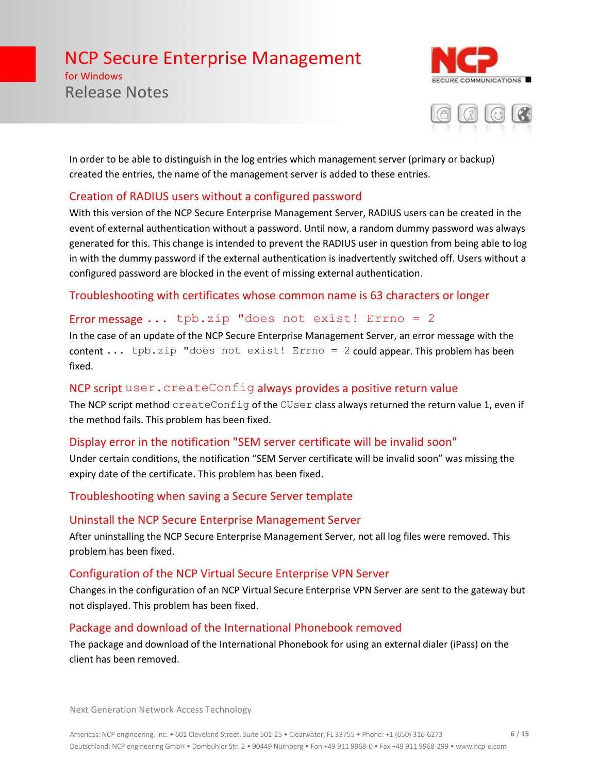for Windows Release Notes





In order to be able to distinguish in the log entries which management server (primary or backup) created the entries, the name of the management server is added to these entries.

## Creation of RADIUS users without a configured password

With this version of the NCP Secure Enterprise Management Server, RADIUS users can be created in the event of external authentication without a password. Until now, a random dummy password was always generated for this. This change is intended to prevent the RADIUS user in question from being able to log in with the dummy password if the external authentication is inadvertently switched off. Users without a configured password are blocked in the event of missing external authentication.

Troubleshooting with certificates whose common name is 63 characters or longer

### Error message  $\ldots$  tpb.zip "does not exist! Errno = 2

In the case of an update of the NCP Secure Enterprise Management Server, an error message with the content ... tpb.zip "does not exist! Errno = 2 could appear. This problem has been fixed.

### NCP script user.createConfig always provides a positive return value

The NCP script method createConfig of the CUser class always returned the return value 1, even if the method fails. This problem has been fixed.

### Display error in the notification "SEM server certificate will be invalid soon"

Under certain conditions, the notification "SEM Server certificate will be invalid soon" was missing the expiry date of the certificate. This problem has been fixed.

### Troubleshooting when saving a Secure Server template

### Uninstall the NCP Secure Enterprise Management Server

After uninstalling the NCP Secure Enterprise Management Server, not all log files were removed. This problem has been fixed.

### Configuration of the NCP Virtual Secure Enterprise VPN Server

Changes in the configuration of an NCP Virtual Secure Enterprise VPN Server are sent to the gateway but not displayed. This problem has been fixed.

### Package and download of the International Phonebook removed

The package and download of the International Phonebook for using an external dialer (iPass) on the client has been removed.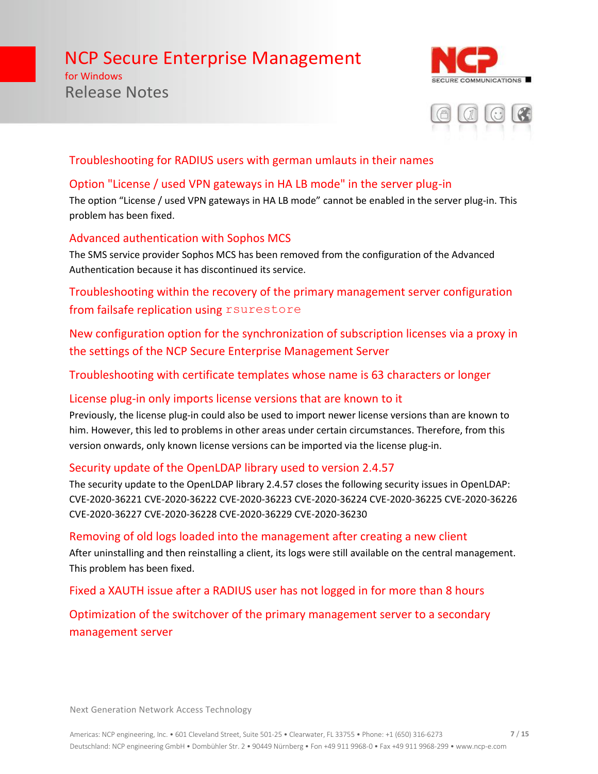# for Windows Release Notes





# Troubleshooting for RADIUS users with german umlauts in their names

# Option "License / used VPN gateways in HA LB mode" in the server plug-in

The option "License / used VPN gateways in HA LB mode" cannot be enabled in the server plug-in. This problem has been fixed.

## Advanced authentication with Sophos MCS

The SMS service provider Sophos MCS has been removed from the configuration of the Advanced Authentication because it has discontinued its service.

Troubleshooting within the recovery of the primary management server configuration from failsafe replication using rsurestore

New configuration option for the synchronization of subscription licenses via a proxy in the settings of the NCP Secure Enterprise Management Server

Troubleshooting with certificate templates whose name is 63 characters or longer

## License plug-in only imports license versions that are known to it

Previously, the license plug-in could also be used to import newer license versions than are known to him. However, this led to problems in other areas under certain circumstances. Therefore, from this version onwards, only known license versions can be imported via the license plug-in.

## Security update of the OpenLDAP library used to version 2.4.57

The security update to the OpenLDAP library 2.4.57 closes the following security issues in OpenLDAP: CVE-2020-36221 CVE-2020-36222 CVE-2020-36223 CVE-2020-36224 CVE-2020-36225 CVE-2020-36226 CVE-2020-36227 CVE-2020-36228 CVE-2020-36229 CVE-2020-36230

### Removing of old logs loaded into the management after creating a new client

After uninstalling and then reinstalling a client, its logs were still available on the central management. This problem has been fixed.

Fixed a XAUTH issue after a RADIUS user has not logged in for more than 8 hours

Optimization of the switchover of the primary management server to a secondary management server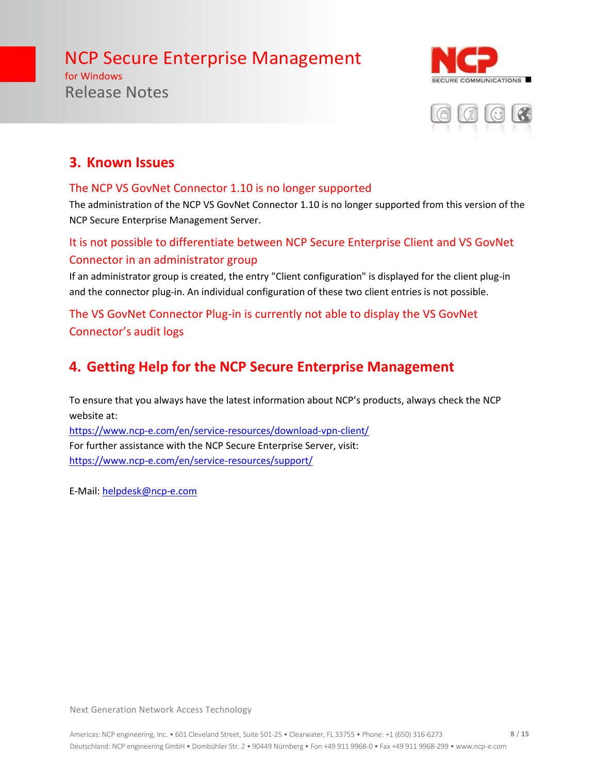for Windows Release Notes





# **3. Known Issues**

### The NCP VS GovNet Connector 1.10 is no longer supported

The administration of the NCP VS GovNet Connector 1.10 is no longer supported from this version of the NCP Secure Enterprise Management Server.

# It is not possible to differentiate between NCP Secure Enterprise Client and VS GovNet Connector in an administrator group

If an administrator group is created, the entry "Client configuration" is displayed for the client plug-in and the connector plug-in. An individual configuration of these two client entries is not possible.

# The VS GovNet Connector Plug-in is currently not able to display the VS GovNet Connector's audit logs

# **4. Getting Help for the NCP Secure Enterprise Management**

To ensure that you always have the latest information about NCP's products, always check the NCP website at:

<https://www.ncp-e.com/en/service-resources/download-vpn-client/> For further assistance with the NCP Secure Enterprise Server, visit: <https://www.ncp-e.com/en/service-resources/support/>

E-Mail: [helpdesk@ncp-e.com](mailto:helpdesk@ncp-e.com)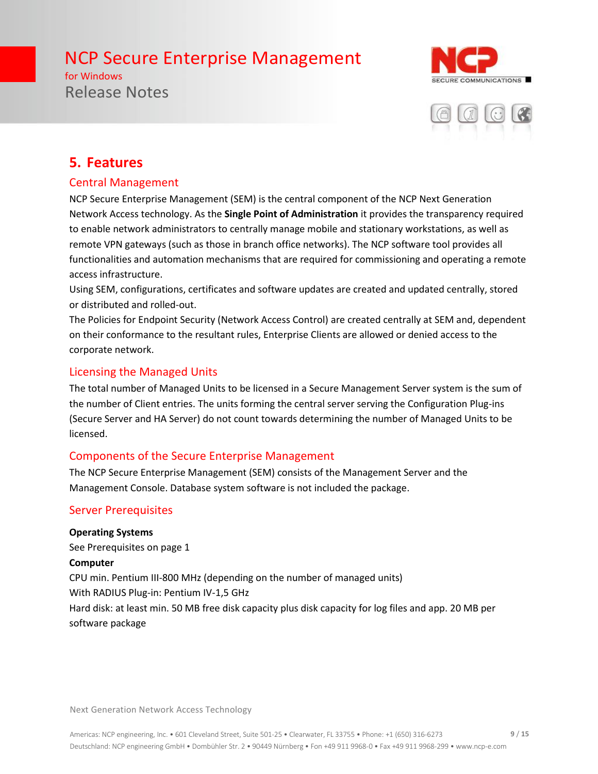for Windows Release Notes





# **5. Features**

## Central Management

NCP Secure Enterprise Management (SEM) is the central component of the NCP Next Generation Network Access technology. As the **Single Point of Administration** it provides the transparency required to enable network administrators to centrally manage mobile and stationary workstations, as well as remote VPN gateways (such as those in branch office networks). The NCP software tool provides all functionalities and automation mechanisms that are required for commissioning and operating a remote access infrastructure.

Using SEM, configurations, certificates and software updates are created and updated centrally, stored or distributed and rolled-out.

The Policies for Endpoint Security (Network Access Control) are created centrally at SEM and, dependent on their conformance to the resultant rules, Enterprise Clients are allowed or denied access to the corporate network.

### Licensing the Managed Units

The total number of Managed Units to be licensed in a Secure Management Server system is the sum of the number of Client entries. The units forming the central server serving the Configuration Plug-ins (Secure Server and HA Server) do not count towards determining the number of Managed Units to be licensed.

## Components of the Secure Enterprise Management

The NCP Secure Enterprise Management (SEM) consists of the Management Server and the Management Console. Database system software is not included the package.

## Server Prerequisites

**Operating Systems** See Prerequisites on page 1 **Computer** CPU min. Pentium III-800 MHz (depending on the number of managed units) With RADIUS Plug-in: Pentium IV-1,5 GHz Hard disk: at least min. 50 MB free disk capacity plus disk capacity for log files and app. 20 MB per software package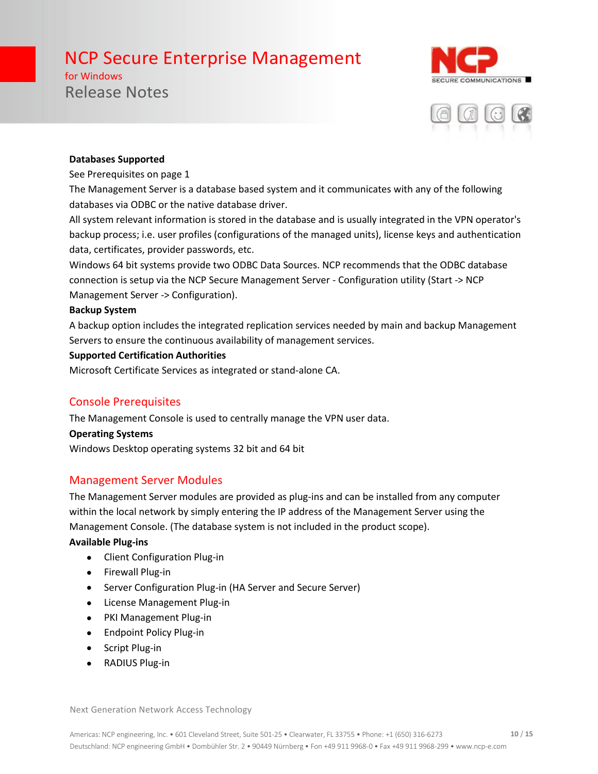for Windows Release Notes





#### **Databases Supported**

#### See Prerequisites on page 1

The Management Server is a database based system and it communicates with any of the following databases via ODBC or the native database driver.

All system relevant information is stored in the database and is usually integrated in the VPN operator's backup process; i.e. user profiles (configurations of the managed units), license keys and authentication data, certificates, provider passwords, etc.

Windows 64 bit systems provide two ODBC Data Sources. NCP recommends that the ODBC database connection is setup via the NCP Secure Management Server - Configuration utility (Start -> NCP Management Server -> Configuration).

#### **Backup System**

A backup option includes the integrated replication services needed by main and backup Management Servers to ensure the continuous availability of management services.

#### **Supported Certification Authorities**

Microsoft Certificate Services as integrated or stand-alone CA.

### Console Prerequisites

The Management Console is used to centrally manage the VPN user data.

#### **Operating Systems**

Windows Desktop operating systems 32 bit and 64 bit

### Management Server Modules

The Management Server modules are provided as plug-ins and can be installed from any computer within the local network by simply entering the IP address of the Management Server using the Management Console. (The database system is not included in the product scope).

#### **Available Plug-ins**

- Client Configuration Plug-in
- Firewall Plug-in
- Server Configuration Plug-in (HA Server and Secure Server)
- License Management Plug-in
- PKI Management Plug-in
- Endpoint Policy Plug-in
- Script Plug-in
- RADIUS Plug-in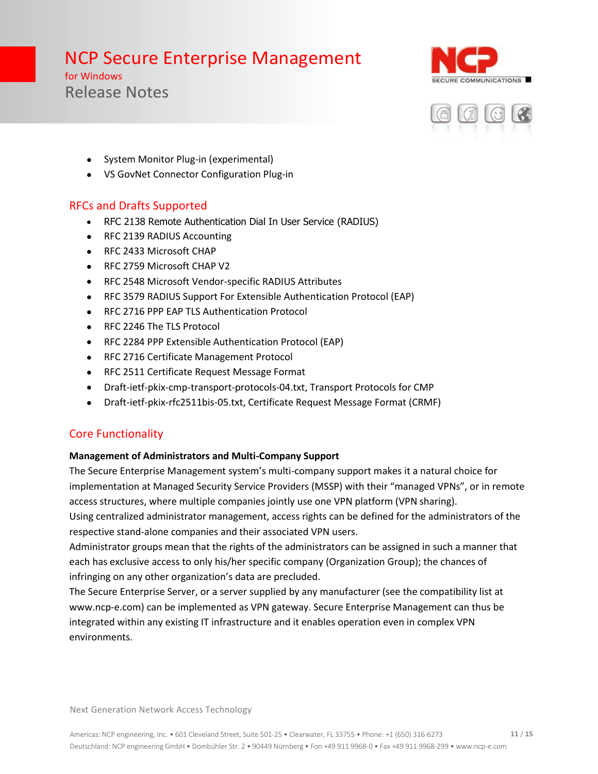for Windows Release Notes





- System Monitor Plug-in (experimental)
- VS GovNet Connector Configuration Plug-in

# RFCs and Drafts Supported

- RFC 2138 Remote Authentication Dial In User Service (RADIUS)
- RFC 2139 RADIUS Accounting
- RFC 2433 Microsoft CHAP
- RFC 2759 Microsoft CHAP V2
- RFC 2548 Microsoft Vendor-specific RADIUS Attributes
- RFC 3579 RADIUS Support For Extensible Authentication Protocol (EAP)
- RFC 2716 PPP EAP TLS Authentication Protocol
- RFC 2246 The TLS Protocol
- RFC 2284 PPP Extensible Authentication Protocol (EAP)
- RFC 2716 Certificate Management Protocol
- RFC 2511 Certificate Request Message Format
- Draft-ietf-pkix-cmp-transport-protocols-04.txt, Transport Protocols for CMP
- Draft-ietf-pkix-rfc2511bis-05.txt, Certificate Request Message Format (CRMF)

# Core Functionality

### **Management of Administrators and Multi-Company Support**

The Secure Enterprise Management system's multi-company support makes it a natural choice for implementation at Managed Security Service Providers (MSSP) with their "managed VPNs", or in remote access structures, where multiple companies jointly use one VPN platform (VPN sharing).

Using centralized administrator management, access rights can be defined for the administrators of the respective stand-alone companies and their associated VPN users.

Administrator groups mean that the rights of the administrators can be assigned in such a manner that each has exclusive access to only his/her specific company (Organization Group); the chances of infringing on any other organization's data are precluded.

The Secure Enterprise Server, or a server supplied by any manufacturer (see the compatibility list at www.ncp-e.com) can be implemented as VPN gateway. Secure Enterprise Management can thus be integrated within any existing IT infrastructure and it enables operation even in complex VPN environments.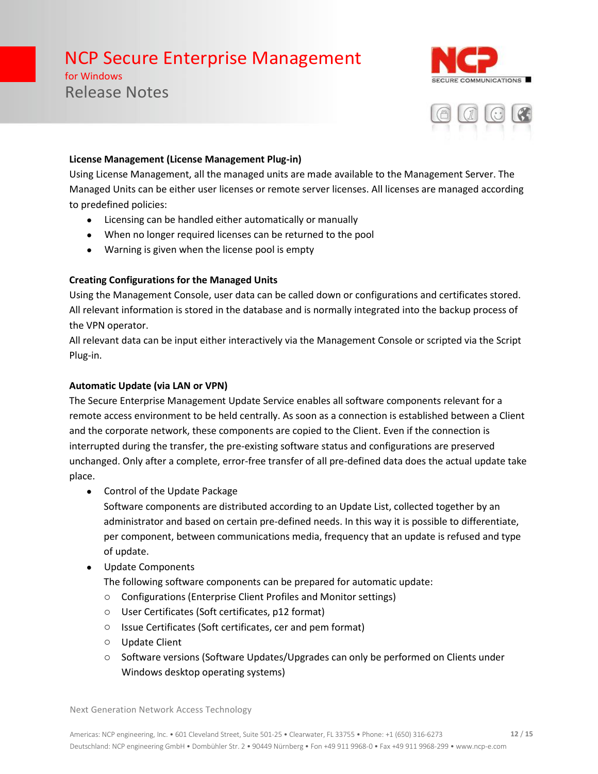for Windows Release Notes





#### **License Management (License Management Plug-in)**

Using License Management, all the managed units are made available to the Management Server. The Managed Units can be either user licenses or remote server licenses. All licenses are managed according to predefined policies:

- Licensing can be handled either automatically or manually
- When no longer required licenses can be returned to the pool
- Warning is given when the license pool is empty

### **Creating Configurations for the Managed Units**

Using the Management Console, user data can be called down or configurations and certificates stored. All relevant information is stored in the database and is normally integrated into the backup process of the VPN operator.

All relevant data can be input either interactively via the Management Console or scripted via the Script Plug-in.

### **Automatic Update (via LAN or VPN)**

The Secure Enterprise Management Update Service enables all software components relevant for a remote access environment to be held centrally. As soon as a connection is established between a Client and the corporate network, these components are copied to the Client. Even if the connection is interrupted during the transfer, the pre-existing software status and configurations are preserved unchanged. Only after a complete, error-free transfer of all pre-defined data does the actual update take place.

• Control of the Update Package

Software components are distributed according to an Update List, collected together by an administrator and based on certain pre-defined needs. In this way it is possible to differentiate, per component, between communications media, frequency that an update is refused and type of update.

• Update Components

The following software components can be prepared for automatic update:

- o Configurations (Enterprise Client Profiles and Monitor settings)
- o User Certificates (Soft certificates, p12 format)
- o Issue Certificates (Soft certificates, cer and pem format)
- o Update Client
- o Software versions (Software Updates/Upgrades can only be performed on Clients under Windows desktop operating systems)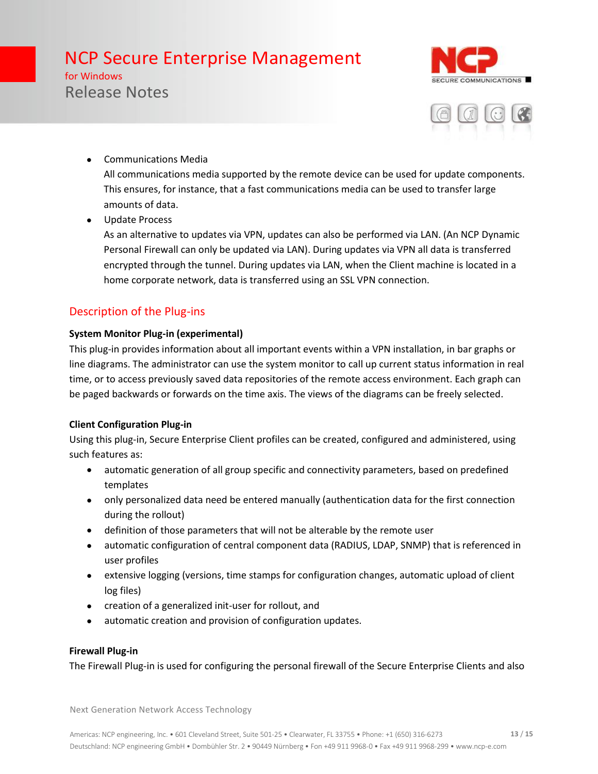for Windows Release Notes





- Communications Media All communications media supported by the remote device can be used for update components. This ensures, for instance, that a fast communications media can be used to transfer large amounts of data.
- Update Process

As an alternative to updates via VPN, updates can also be performed via LAN. (An NCP Dynamic Personal Firewall can only be updated via LAN). During updates via VPN all data is transferred encrypted through the tunnel. During updates via LAN, when the Client machine is located in a home corporate network, data is transferred using an SSL VPN connection.

# Description of the Plug-ins

### **System Monitor Plug-in (experimental)**

This plug-in provides information about all important events within a VPN installation, in bar graphs or line diagrams. The administrator can use the system monitor to call up current status information in real time, or to access previously saved data repositories of the remote access environment. Each graph can be paged backwards or forwards on the time axis. The views of the diagrams can be freely selected.

## **Client Configuration Plug-in**

Using this plug-in, Secure Enterprise Client profiles can be created, configured and administered, using such features as:

- automatic generation of all group specific and connectivity parameters, based on predefined templates
- only personalized data need be entered manually (authentication data for the first connection during the rollout)
- definition of those parameters that will not be alterable by the remote user
- automatic configuration of central component data (RADIUS, LDAP, SNMP) that is referenced in user profiles
- extensive logging (versions, time stamps for configuration changes, automatic upload of client log files)
- creation of a generalized init-user for rollout, and
- automatic creation and provision of configuration updates.

### **Firewall Plug-in**

The Firewall Plug-in is used for configuring the personal firewall of the Secure Enterprise Clients and also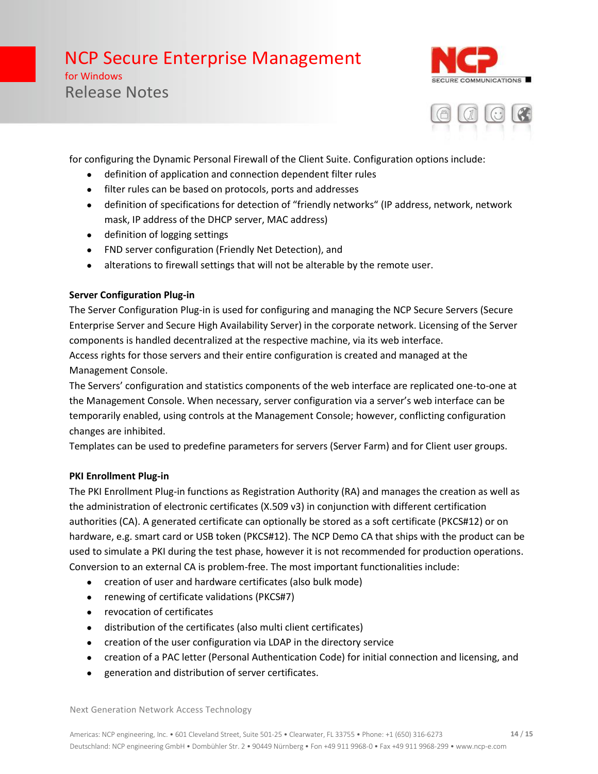for Windows Release Notes





for configuring the Dynamic Personal Firewall of the Client Suite. Configuration options include:

- definition of application and connection dependent filter rules
- filter rules can be based on protocols, ports and addresses
- definition of specifications for detection of "friendly networks" (IP address, network, network mask, IP address of the DHCP server, MAC address)
- definition of logging settings
- FND server configuration (Friendly Net Detection), and
- alterations to firewall settings that will not be alterable by the remote user.

### **Server Configuration Plug-in**

The Server Configuration Plug-in is used for configuring and managing the NCP Secure Servers (Secure Enterprise Server and Secure High Availability Server) in the corporate network. Licensing of the Server components is handled decentralized at the respective machine, via its web interface.

Access rights for those servers and their entire configuration is created and managed at the Management Console.

The Servers' configuration and statistics components of the web interface are replicated one-to-one at the Management Console. When necessary, server configuration via a server's web interface can be temporarily enabled, using controls at the Management Console; however, conflicting configuration changes are inhibited.

Templates can be used to predefine parameters for servers (Server Farm) and for Client user groups.

### **PKI Enrollment Plug-in**

The PKI Enrollment Plug-in functions as Registration Authority (RA) and manages the creation as well as the administration of electronic certificates (X.509 v3) in conjunction with different certification authorities (CA). A generated certificate can optionally be stored as a soft certificate (PKCS#12) or on hardware, e.g. smart card or USB token (PKCS#12). The NCP Demo CA that ships with the product can be used to simulate a PKI during the test phase, however it is not recommended for production operations. Conversion to an external CA is problem-free. The most important functionalities include:

- creation of user and hardware certificates (also bulk mode)
- renewing of certificate validations (PKCS#7)
- revocation of certificates
- distribution of the certificates (also multi client certificates)
- creation of the user configuration via LDAP in the directory service
- creation of a PAC letter (Personal Authentication Code) for initial connection and licensing, and
- generation and distribution of server certificates.